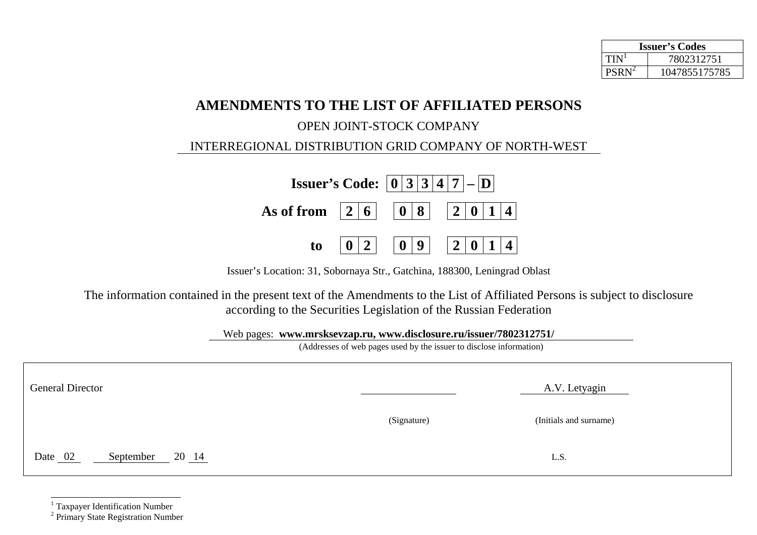| <b>Issuer's Codes</b> |               |  |  |
|-----------------------|---------------|--|--|
| TIN                   | 7802312751    |  |  |
| <b>PSRN</b>           | 1047855175785 |  |  |

## **AMENDMENTS TO THE LIST OF AFFILIATED PERSONS**

## OPEN JOINT-STOCK COMPANY

## INTERREGIONAL DISTRIBUTION GRID COMPANY OF NORTH-WEST

|                                     |                | <b>Issuer's Code:</b> $ 0 3 3 4 7 - D $ |  |
|-------------------------------------|----------------|-----------------------------------------|--|
| As of from $ 2 6 $ $ 0 8 $ $ 2 0 1$ |                |                                         |  |
| to                                  | 2 <sup>1</sup> |                                         |  |

Issuer's Location: 31, Sobornaya Str., Gatchina, 188300, Leningrad Oblast

The information contained in the present text of the Amendments to the List of Affiliated Persons is subject to disclosure according to the Securities Legislation of the Russian Federation

Web pages: **www.mrsksevzap.ru, www.disclosure.ru/issuer/7802312751/** 

(Addresses of web pages used by the issuer to disclose information)

| <b>General Director</b>       | A.V. Letyagin |                        |  |
|-------------------------------|---------------|------------------------|--|
|                               | (Signature)   | (Initials and surname) |  |
| Date 02<br>20 14<br>September |               | L.S.                   |  |

 $\frac{1}{2}$  Taxpayer Identification Number  $\frac{2}{2}$  Primary State Registration Number